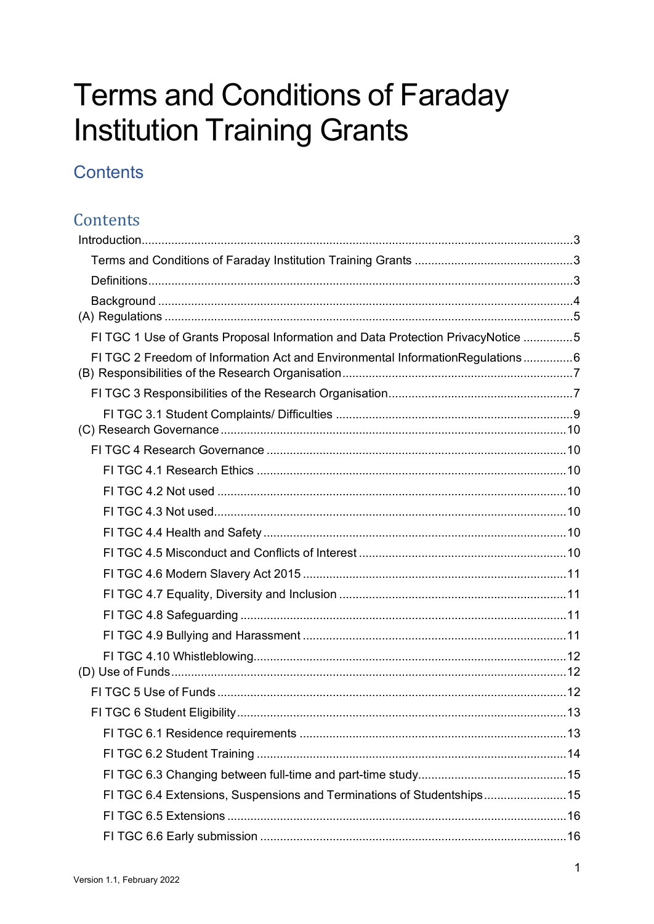# **Terms and Conditions of Faraday Institution Training Grants**

# **Contents**

### Contents

| FI TGC 1 Use of Grants Proposal Information and Data Protection PrivacyNotice 5 |  |
|---------------------------------------------------------------------------------|--|
| FI TGC 2 Freedom of Information Act and Environmental InformationRegulations6   |  |
|                                                                                 |  |
|                                                                                 |  |
|                                                                                 |  |
|                                                                                 |  |
|                                                                                 |  |
|                                                                                 |  |
|                                                                                 |  |
|                                                                                 |  |
|                                                                                 |  |
|                                                                                 |  |
|                                                                                 |  |
|                                                                                 |  |
|                                                                                 |  |
|                                                                                 |  |
|                                                                                 |  |
|                                                                                 |  |
|                                                                                 |  |
|                                                                                 |  |
| FI TGC 6.4 Extensions, Suspensions and Terminations of Studentships15           |  |
|                                                                                 |  |
|                                                                                 |  |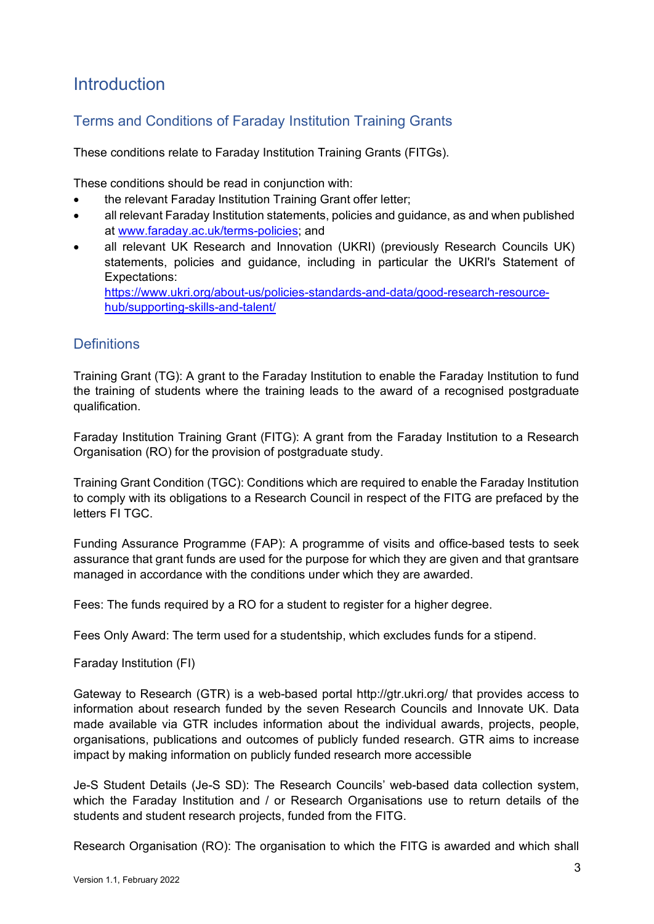### <span id="page-2-0"></span>**Introduction**

#### <span id="page-2-1"></span>Terms and Conditions of Faraday Institution Training Grants

These conditions relate to Faraday Institution Training Grants (FITGs).

These conditions should be read in conjunction with:

- the relevant Faraday Institution Training Grant offer letter;
- all relevant Faraday Institution statements, policies and guidance, as and when published at [www.faraday.ac.uk/terms-policies;](http://www.faraday.ac.uk/terms-policies) and
- all relevant UK Research and Innovation (UKRI) (previously Research Councils UK) statements, policies and guidance, including in particular the UKRI's Statement of Expectations: [https://www.ukri.org/about-us/policies-standards-and-data/good-research-resource](https://www.ukri.org/about-us/policies-standards-and-data/good-research-resource-hub/supporting-skills-and-talent/)[hub/supporting-skills-and-talent/](https://www.ukri.org/about-us/policies-standards-and-data/good-research-resource-hub/supporting-skills-and-talent/)

<span id="page-2-2"></span>**Definitions** 

Training Grant (TG): A grant to the Faraday Institution to enable the Faraday Institution to fund the training of students where the training leads to the award of a recognised postgraduate qualification.

Faraday Institution Training Grant (FITG): A grant from the Faraday Institution to a Research Organisation (RO) for the provision of postgraduate study.

Training Grant Condition (TGC): Conditions which are required to enable the Faraday Institution to comply with its obligations to a Research Council in respect of the FITG are prefaced by the letters FI TGC.

Funding Assurance Programme (FAP): A programme of visits and office-based tests to seek assurance that grant funds are used for the purpose for which they are given and that grantsare managed in accordance with the conditions under which they are awarded.

Fees: The funds required by a RO for a student to register for a higher degree.

Fees Only Award: The term used for a studentship, which excludes funds for a stipend.

Faraday Institution (FI)

Gateway to Research (GTR) is a web-based portal <http://gtr.ukri.org/> that provides access to information about research funded by the seven Research Councils and Innovate UK. Data made available via GTR includes information about the individual awards, projects, people, organisations, publications and outcomes of publicly funded research. GTR aims to increase impact by making information on publicly funded research more accessible

Je-S Student Details (Je-S SD): The Research Councils' web-based data collection system, which the Faraday Institution and / or Research Organisations use to return details of the students and student research projects, funded from the FITG.

Research Organisation (RO): The organisation to which the FITG is awarded and which shall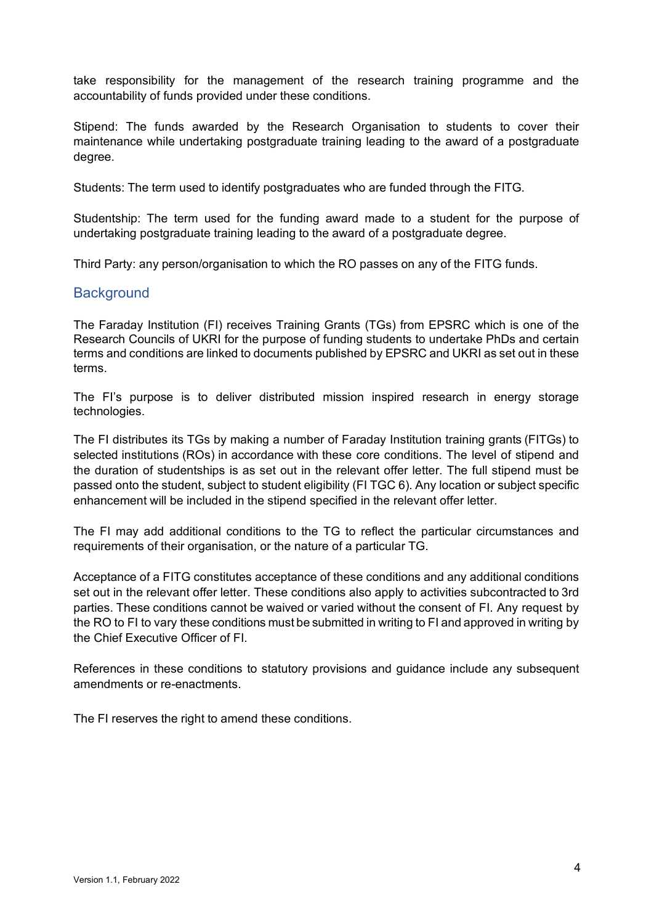take responsibility for the management of the research training programme and the accountability of funds provided under these conditions.

Stipend: The funds awarded by the Research Organisation to students to cover their maintenance while undertaking postgraduate training leading to the award of a postgraduate degree.

Students: The term used to identify postgraduates who are funded through the FITG.

Studentship: The term used for the funding award made to a student for the purpose of undertaking postgraduate training leading to the award of a postgraduate degree.

Third Party: any person/organisation to which the RO passes on any of the FITG funds.

#### <span id="page-3-0"></span>**Background**

The Faraday Institution (FI) receives Training Grants (TGs) from EPSRC which is one of the Research Councils of UKRI for the purpose of funding students to undertake PhDs and certain terms and conditions are linked to documents published by EPSRC and UKRI as set out in these terms.

The FI's purpose is to deliver distributed mission inspired research in energy storage technologies.

The FI distributes its TGs by making a number of Faraday Institution training grants (FITGs) to selected institutions (ROs) in accordance with these core conditions. The level of stipend and the duration of studentships is as set out in the relevant offer letter. The full stipend must be passed onto the student, subject to student eligibility (FI TGC 6). Any location or subject specific enhancement will be included in the stipend specified in the relevant offer letter.

The FI may add additional conditions to the TG to reflect the particular circumstances and requirements of their organisation, or the nature of a particular TG.

Acceptance of a FITG constitutes acceptance of these conditions and any additional conditions set out in the relevant offer letter. These conditions also apply to activities subcontracted to 3rd parties. These conditions cannot be waived or varied without the consent of FI. Any request by the RO to FI to vary these conditions must be submitted in writing to FI and approved in writing by the Chief Executive Officer of FI.

References in these conditions to statutory provisions and guidance include any subsequent amendments or re-enactments.

The FI reserves the right to amend these conditions.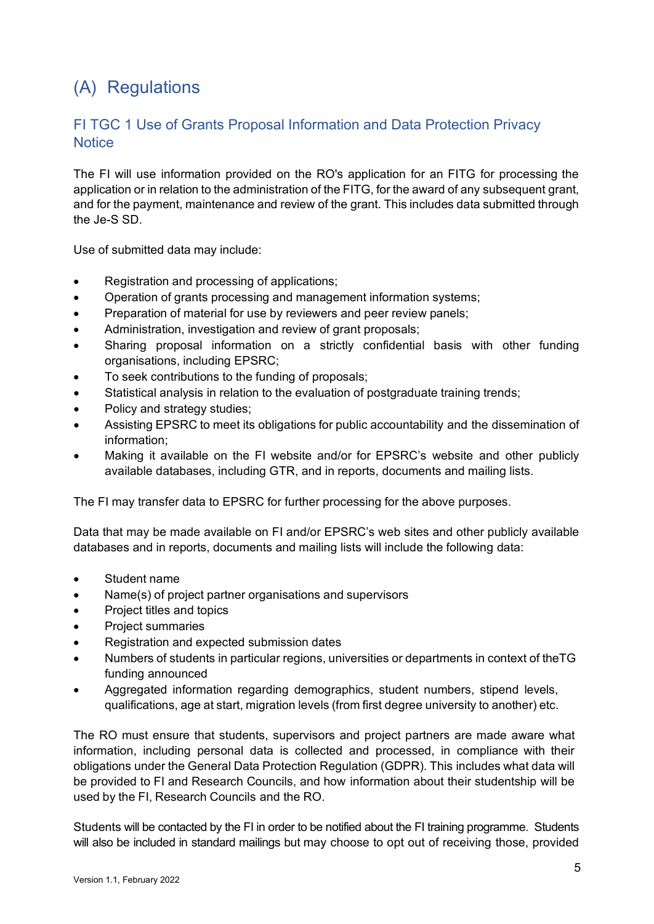# <span id="page-4-0"></span>(A) Regulations

#### <span id="page-4-1"></span>FI TGC 1 Use of Grants Proposal Information and Data Protection Privacy **Notice**

The FI will use information provided on the RO's application for an FITG for processing the application or in relation to the administration of the FITG, for the award of any subsequent grant, and for the payment, maintenance and review of the grant. This includes data submitted through the Je-S SD.

Use of submitted data may include:

- Registration and processing of applications;
- Operation of grants processing and management information systems;
- Preparation of material for use by reviewers and peer review panels;
- Administration, investigation and review of grant proposals;
- Sharing proposal information on a strictly confidential basis with other funding organisations, including EPSRC;
- To seek contributions to the funding of proposals;
- Statistical analysis in relation to the evaluation of postgraduate training trends:
- Policy and strategy studies;
- Assisting EPSRC to meet its obligations for public accountability and the dissemination of information;
- Making it available on the FI website and/or for EPSRC's website and other publicly available databases, including GTR, and in reports, documents and mailing lists.

The FI may transfer data to EPSRC for further processing for the above purposes.

Data that may be made available on FI and/or EPSRC's web sites and other publicly available databases and in reports, documents and mailing lists will include the following data:

- Student name
- Name(s) of project partner organisations and supervisors
- Project titles and topics
- Project summaries
- Registration and expected submission dates
- Numbers of students in particular regions, universities or departments in context of theTG funding announced
- Aggregated information regarding demographics, student numbers, stipend levels, qualifications, age at start, migration levels (from first degree university to another) etc.

The RO must ensure that students, supervisors and project partners are made aware what information, including personal data is collected and processed, in compliance with their obligations under the General Data Protection Regulation (GDPR). This includes what data will be provided to FI and Research Councils, and how information about their studentship will be used by the FI, Research Councils and the RO.

Students will be contacted by the FI in order to be notified about the FI training programme. Students will also be included in standard mailings but may choose to opt out of receiving those, provided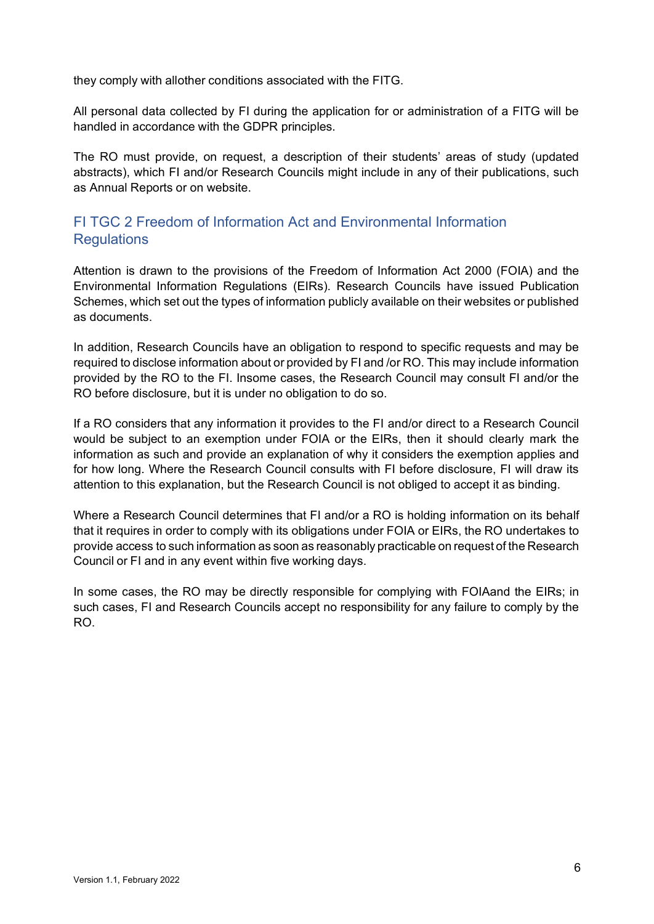they comply with allother conditions associated with the FITG.

All personal data collected by FI during the application for or administration of a FITG will be handled in accordance with the GDPR principles.

The RO must provide, on request, a description of their students' areas of study (updated abstracts), which FI and/or Research Councils might include in any of their publications, such as Annual Reports or on website.

#### <span id="page-5-0"></span>FI TGC 2 Freedom of Information Act and Environmental Information **Regulations**

Attention is drawn to the provisions of the Freedom of Information Act 2000 (FOIA) and the Environmental Information Regulations (EIRs). Research Councils have issued Publication Schemes, which set out the types of information publicly available on their websites or published as documents.

In addition, Research Councils have an obligation to respond to specific requests and may be required to disclose information about or provided by FI and /or RO. This may include information provided by the RO to the FI. Insome cases, the Research Council may consult FI and/or the RO before disclosure, but it is under no obligation to do so.

If a RO considers that any information it provides to the FI and/or direct to a Research Council would be subject to an exemption under FOIA or the EIRs, then it should clearly mark the information as such and provide an explanation of why it considers the exemption applies and for how long. Where the Research Council consults with FI before disclosure, FI will draw its attention to this explanation, but the Research Council is not obliged to accept it as binding.

Where a Research Council determines that FI and/or a RO is holding information on its behalf that it requires in order to comply with its obligations under FOIA or EIRs, the RO undertakes to provide access to such information as soon as reasonably practicable on request of the Research Council or FI and in any event within five working days.

In some cases, the RO may be directly responsible for complying with FOIAand the EIRs; in such cases, FI and Research Councils accept no responsibility for any failure to comply by the RO.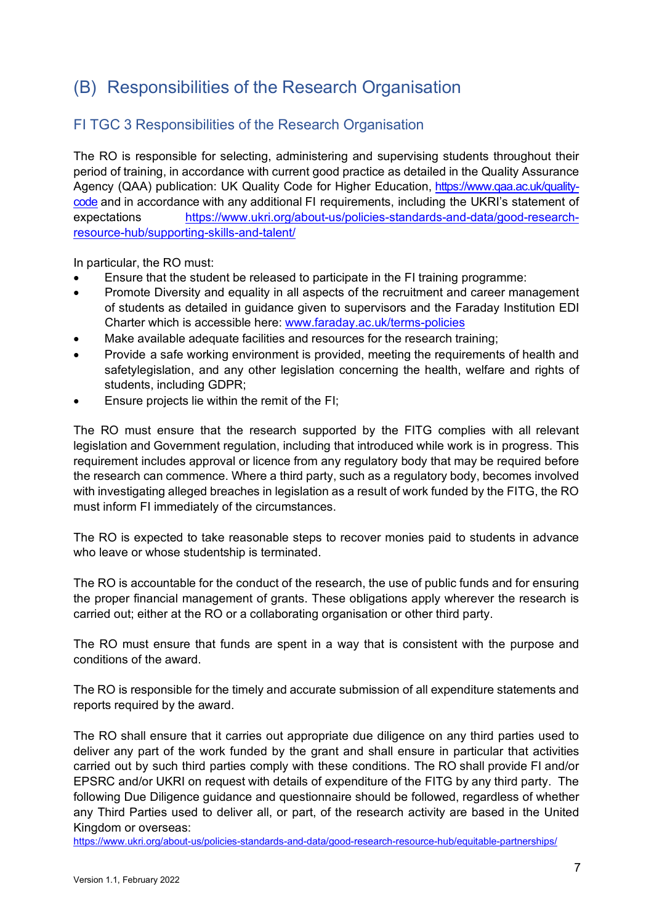## <span id="page-6-0"></span>(B) Responsibilities of the Research Organisation

#### <span id="page-6-1"></span>FI TGC 3 Responsibilities of the Research Organisation

The RO is responsible for selecting, administering and supervising students throughout their period of training, in accordance with current good practice as detailed in the Quality Assurance Agency (QAA) publication: UK Quality Code for Higher Education, https://www.gaa.ac.uk/quality[code](https://www.qaa.ac.uk/quality-code) and in accordance with any additional FI requirements, including the UKRI's statement of expectations [https://www.ukri.org/about-us/policies-standards-and-data/good-research](https://www.ukri.org/about-us/policies-standards-and-data/good-research-resource-hub/supporting-skills-and-talent/)[resource-hub/supporting-skills-and-talent/](https://www.ukri.org/about-us/policies-standards-and-data/good-research-resource-hub/supporting-skills-and-talent/)

In particular, the RO must:

- Ensure that the student be released to participate in the FI training programme:
- Promote Diversity and equality in all aspects of the recruitment and career management of students as detailed in guidance given to supervisors and the Faraday Institution EDI Charter which is accessible here: [www.faraday.ac.uk/terms-policies](http://www.faraday.ac.uk/terms-policies)
- Make available adequate facilities and resources for the research training;
- Provide a safe working environment is provided, meeting the requirements of health and safetylegislation, and any other legislation concerning the health, welfare and rights of students, including GDPR;
- Ensure projects lie within the remit of the FI:

The RO must ensure that the research supported by the FITG complies with all relevant legislation and Government regulation, including that introduced while work is in progress. This requirement includes approval or licence from any regulatory body that may be required before the research can commence. Where a third party, such as a regulatory body, becomes involved with investigating alleged breaches in legislation as a result of work funded by the FITG, the RO must inform FI immediately of the circumstances.

The RO is expected to take reasonable steps to recover monies paid to students in advance who leave or whose studentship is terminated.

The RO is accountable for the conduct of the research, the use of public funds and for ensuring the proper financial management of grants. These obligations apply wherever the research is carried out; either at the RO or a collaborating organisation or other third party.

The RO must ensure that funds are spent in a way that is consistent with the purpose and conditions of the award.

The RO is responsible for the timely and accurate submission of all expenditure statements and reports required by the award.

The RO shall ensure that it carries out appropriate due diligence on any third parties used to deliver any part of the work funded by the grant and shall ensure in particular that activities carried out by such third parties comply with these conditions. The RO shall provide FI and/or EPSRC and/or UKRI on request with details of expenditure of the FITG by any third party. The following Due Diligence guidance and questionnaire should be followed, regardless of whether any Third Parties used to deliver all, or part, of the research activity are based in the United Kingdom or overseas:

<https://www.ukri.org/about-us/policies-standards-and-data/good-research-resource-hub/equitable-partnerships/>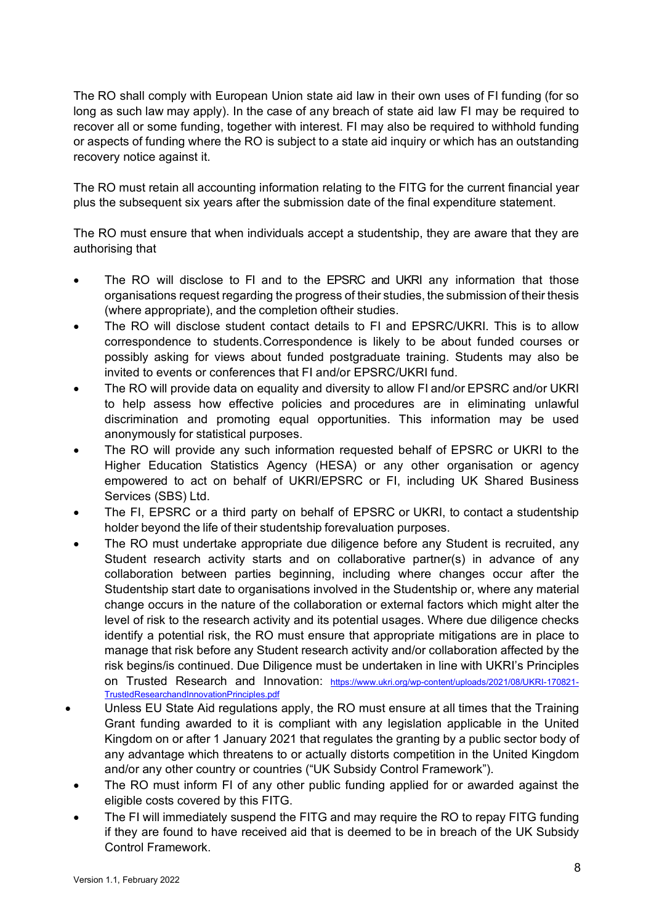The RO shall comply with European Union state aid law in their own uses of FI funding (for so long as such law may apply). In the case of any breach of state aid law FI may be required to recover all or some funding, together with interest. FI may also be required to withhold funding or aspects of funding where the RO is subject to a state aid inquiry or which has an outstanding recovery notice against it.

The RO must retain all accounting information relating to the FITG for the current financial year plus the subsequent six years after the submission date of the final expenditure statement.

The RO must ensure that when individuals accept a studentship, they are aware that they are authorising that

- The RO will disclose to FI and to the EPSRC and UKRI any information that those organisations request regarding the progress of their studies, the submission of their thesis (where appropriate), and the completion oftheir studies.
- The RO will disclose student contact details to FI and EPSRC/UKRI. This is to allow correspondence to students.Correspondence is likely to be about funded courses or possibly asking for views about funded postgraduate training. Students may also be invited to events or conferences that FI and/or EPSRC/UKRI fund.
- The RO will provide data on equality and diversity to allow FI and/or EPSRC and/or UKRI to help assess how effective policies and procedures are in eliminating unlawful discrimination and promoting equal opportunities. This information may be used anonymously for statistical purposes.
- The RO will provide any such information requested behalf of EPSRC or UKRI to the Higher Education Statistics Agency (HESA) or any other organisation or agency empowered to act on behalf of UKRI/EPSRC or FI, including UK Shared Business Services (SBS) Ltd.
- The FI, EPSRC or a third party on behalf of EPSRC or UKRI, to contact a studentship holder beyond the life of their studentship forevaluation purposes.
- The RO must undertake appropriate due diligence before any Student is recruited, any Student research activity starts and on collaborative partner(s) in advance of any collaboration between parties beginning, including where changes occur after the Studentship start date to organisations involved in the Studentship or, where any material change occurs in the nature of the collaboration or external factors which might alter the level of risk to the research activity and its potential usages. Where due diligence checks identify a potential risk, the RO must ensure that appropriate mitigations are in place to manage that risk before any Student research activity and/or collaboration affected by the risk begins/is continued. Due Diligence must be undertaken in line with UKRI's Principles on Trusted Research and Innovation: [https://www.ukri.org/wp-content/uploads/2021/08/UKRI-170821-](https://www.ukri.org/wp-content/uploads/2021/08/UKRI-170821-TrustedResearchandInnovationPrinciples.pdf) [TrustedResearchandInnovationPrinciples.pdf](https://www.ukri.org/wp-content/uploads/2021/08/UKRI-170821-TrustedResearchandInnovationPrinciples.pdf)
- Unless EU State Aid regulations apply, the RO must ensure at all times that the Training Grant funding awarded to it is compliant with any legislation applicable in the United Kingdom on or after 1 January 2021 that regulates the granting by a public sector body of any advantage which threatens to or actually distorts competition in the United Kingdom and/or any other country or countries ("UK Subsidy Control Framework").
- The RO must inform FI of any other public funding applied for or awarded against the eligible costs covered by this FITG.
- The FI will immediately suspend the FITG and may require the RO to repay FITG funding if they are found to have received aid that is deemed to be in breach of the UK Subsidy Control Framework.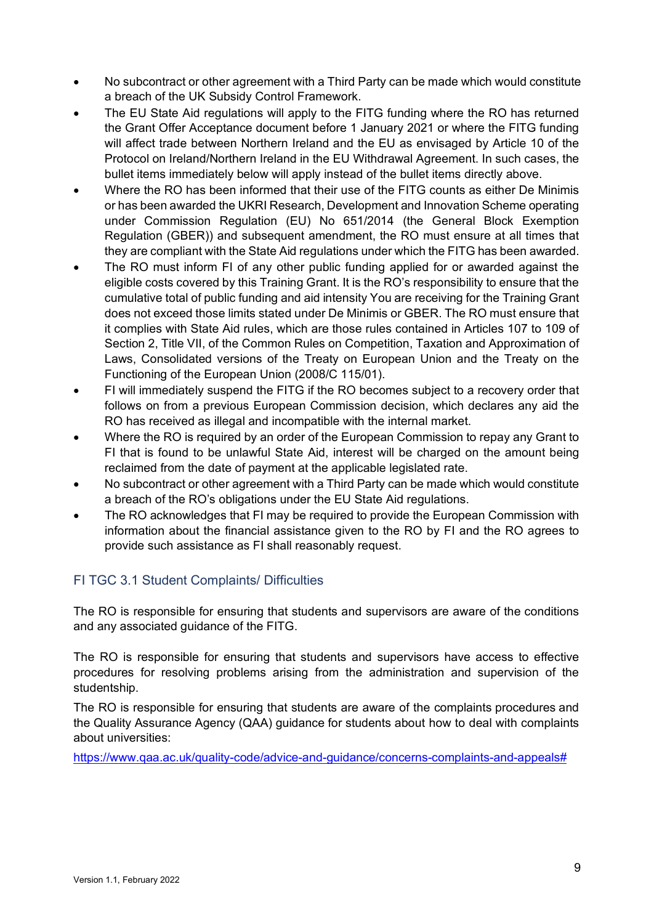- No subcontract or other agreement with a Third Party can be made which would constitute a breach of the UK Subsidy Control Framework.
- The EU State Aid regulations will apply to the FITG funding where the RO has returned the Grant Offer Acceptance document before 1 January 2021 or where the FITG funding will affect trade between Northern Ireland and the EU as envisaged by Article 10 of the Protocol on Ireland/Northern Ireland in the EU Withdrawal Agreement. In such cases, the bullet items immediately below will apply instead of the bullet items directly above.
- Where the RO has been informed that their use of the FITG counts as either De Minimis or has been awarded the UKRI Research, Development and Innovation Scheme operating under Commission Regulation (EU) No 651/2014 (the General Block Exemption Regulation (GBER)) and subsequent amendment, the RO must ensure at all times that they are compliant with the State Aid regulations under which the FITG has been awarded.
- The RO must inform FI of any other public funding applied for or awarded against the eligible costs covered by this Training Grant. It is the RO's responsibility to ensure that the cumulative total of public funding and aid intensity You are receiving for the Training Grant does not exceed those limits stated under De Minimis or GBER. The RO must ensure that it complies with State Aid rules, which are those rules contained in Articles 107 to 109 of Section 2, Title VII, of the Common Rules on Competition, Taxation and Approximation of Laws, Consolidated versions of the Treaty on European Union and the Treaty on the Functioning of the European Union (2008/C 115/01).
- FI will immediately suspend the FITG if the RO becomes subject to a recovery order that follows on from a previous European Commission decision, which declares any aid the RO has received as illegal and incompatible with the internal market.
- Where the RO is required by an order of the European Commission to repay any Grant to FI that is found to be unlawful State Aid, interest will be charged on the amount being reclaimed from the date of payment at the applicable legislated rate.
- No subcontract or other agreement with a Third Party can be made which would constitute a breach of the RO's obligations under the EU State Aid regulations.
- The RO acknowledges that FI may be required to provide the European Commission with information about the financial assistance given to the RO by FI and the RO agrees to provide such assistance as FI shall reasonably request.

#### <span id="page-8-0"></span>FI TGC 3.1 Student Complaints/ Difficulties

The RO is responsible for ensuring that students and supervisors are aware of the conditions and any associated guidance of the FITG.

The RO is responsible for ensuring that students and supervisors have access to effective procedures for resolving problems arising from the administration and supervision of the studentship.

The RO is responsible for ensuring that students are aware of the complaints procedures and the Quality Assurance Agency (QAA) guidance for students about how to deal with complaints about universities:

[https://www.qaa.ac.uk/quality-code/advice-and-guidance/concerns-complaints-and-appeals#](https://www.qaa.ac.uk/quality-code/advice-and-guidance/concerns-complaints-and-appeals)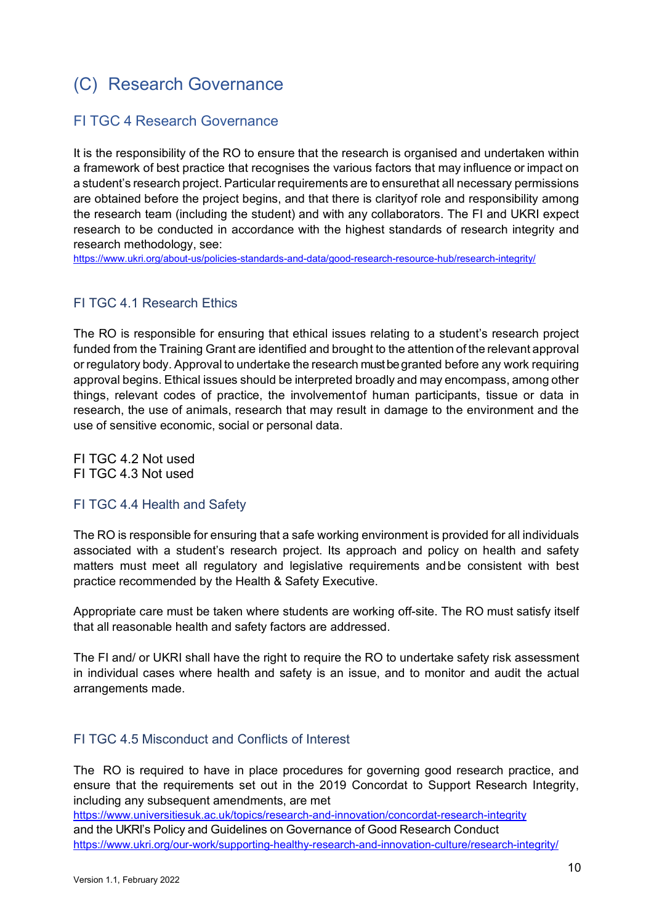# <span id="page-9-0"></span>(C) Research Governance

#### <span id="page-9-1"></span>FI TGC 4 Research Governance

It is the responsibility of the RO to ensure that the research is organised and undertaken within a framework of best practice that recognises the various factors that may influence or impact on a student's research project. Particular requirements are to ensurethat all necessary permissions are obtained before the project begins, and that there is clarityof role and responsibility among the research team (including the student) and with any collaborators. The FI and UKRI expect research to be conducted in accordance with the highest standards of research integrity and research methodology, see:

<https://www.ukri.org/about-us/policies-standards-and-data/good-research-resource-hub/research-integrity/>

#### <span id="page-9-2"></span>FI TGC 4.1 Research Ethics

The RO is responsible for ensuring that ethical issues relating to a student's research project funded from the Training Grant are identified and brought to the attention of the relevant approval or regulatory body. Approval to undertake the research must be granted before any work requiring approval begins. Ethical issues should be interpreted broadly and may encompass, among other things, relevant codes of practice, the involvementof human participants, tissue or data in research, the use of animals, research that may result in damage to the environment and the use of sensitive economic, social or personal data.

<span id="page-9-4"></span><span id="page-9-3"></span>FI TGC 4.2 Not used FI TGC 4.3 Not used

#### <span id="page-9-5"></span>FI TGC 4.4 Health and Safety

The RO is responsible for ensuring that a safe working environment is provided for all individuals associated with a student's research project. Its approach and policy on health and safety matters must meet all regulatory and legislative requirements andbe consistent with best practice recommended by the Health & Safety Executive.

Appropriate care must be taken where students are working off-site. The RO must satisfy itself that all reasonable health and safety factors are addressed.

The FI and/ or UKRI shall have the right to require the RO to undertake safety risk assessment in individual cases where health and safety is an issue, and to monitor and audit the actual arrangements made.

#### <span id="page-9-6"></span>FI TGC 4.5 Misconduct and Conflicts of Interest

The RO is required to have in place procedures for governing good research practice, and ensure that the requirements set out in the 2019 Concordat to Support Research Integrity, including any subsequent amendments, are met

<https://www.universitiesuk.ac.uk/topics/research-and-innovation/concordat-research-integrity>

and the UKRI's Policy and Guidelines on Governance of Good Research Conduct <https://www.ukri.org/our-work/supporting-healthy-research-and-innovation-culture/research-integrity/>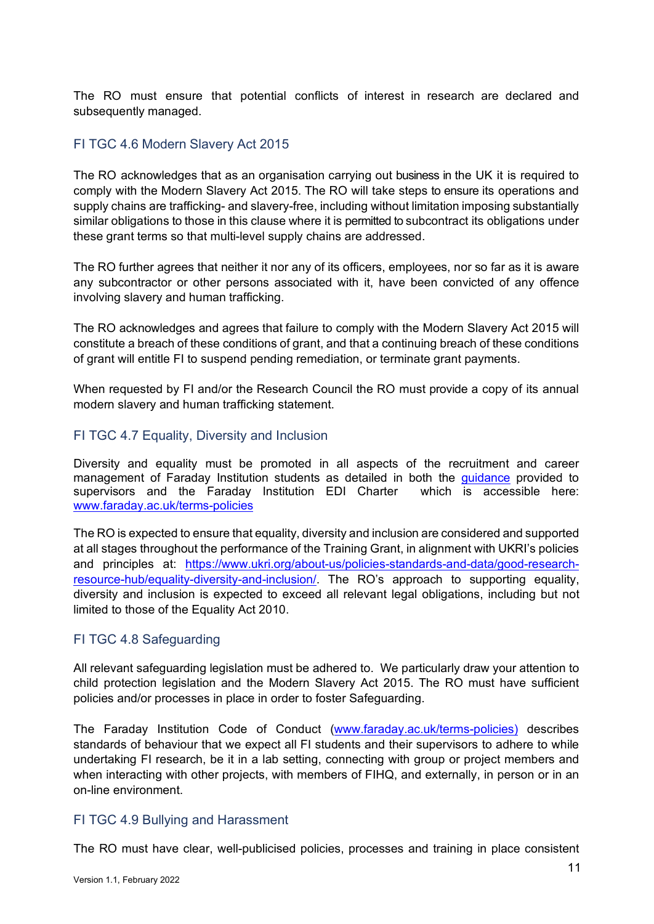The RO must ensure that potential conflicts of interest in research are declared and subsequently managed.

#### <span id="page-10-0"></span>FI TGC 4.6 Modern Slavery Act 2015

The RO acknowledges that as an organisation carrying out business in the UK it is required to comply with the Modern Slavery Act 2015. The RO will take steps to ensure its operations and supply chains are trafficking- and slavery-free, including without limitation imposing substantially similar obligations to those in this clause where it is permitted to subcontract its obligations under these grant terms so that multi-level supply chains are addressed.

The RO further agrees that neither it nor any of its officers, employees, nor so far as it is aware any subcontractor or other persons associated with it, have been convicted of any offence involving slavery and human trafficking.

The RO acknowledges and agrees that failure to comply with the Modern Slavery Act 2015 will constitute a breach of these conditions of grant, and that a continuing breach of these conditions of grant will entitle FI to suspend pending remediation, or terminate grant payments.

When requested by FI and/or the Research Council the RO must provide a copy of its annual modern slavery and human trafficking statement.

#### <span id="page-10-1"></span>FI TGC 4.7 Equality, Diversity and Inclusion

Diversity and equality must be promoted in all aspects of the recruitment and career management of Faraday Institution students as detailed in both the quidance provided to supervisors and the Faraday Institution EDI Charter which is accessible here: [www.faraday.ac.uk/terms-policies](http://www.faraday.ac.uk/terms-policies)

The RO is expected to ensure that equality, diversity and inclusion are considered and supported at all stages throughout the performance of the Training Grant, in alignment with UKRI's policies and principles at: [https://www.ukri.org/about-us/policies-standards-and-data/good-research](https://www.ukri.org/about-us/policies-standards-and-data/good-research-resource-hub/equality-diversity-and-inclusion/)[resource-hub/equality-diversity-and-inclusion/.](https://www.ukri.org/about-us/policies-standards-and-data/good-research-resource-hub/equality-diversity-and-inclusion/) The RO's approach to supporting equality, diversity and inclusion is expected to exceed all relevant legal obligations, including but not limited to those of the Equality Act 2010.

#### <span id="page-10-2"></span>FI TGC 4.8 Safeguarding

All relevant safeguarding legislation must be adhered to. We particularly draw your attention to child protection legislation and the Modern Slavery Act 2015. The RO must have sufficient policies and/or processes in place in order to foster Safeguarding.

The Faraday Institution Code of Conduct [\(www.faraday.ac.uk/terms-policies\)](http://www.faraday.ac.uk/terms-policies) describes standards of behaviour that we expect all FI students and their supervisors to adhere to while undertaking FI research, be it in a lab setting, connecting with group or project members and when interacting with other projects, with members of FIHQ, and externally, in person or in an on-line environment.

#### <span id="page-10-3"></span>FI TGC 4.9 Bullying and Harassment

The RO must have clear, well-publicised policies, processes and training in place consistent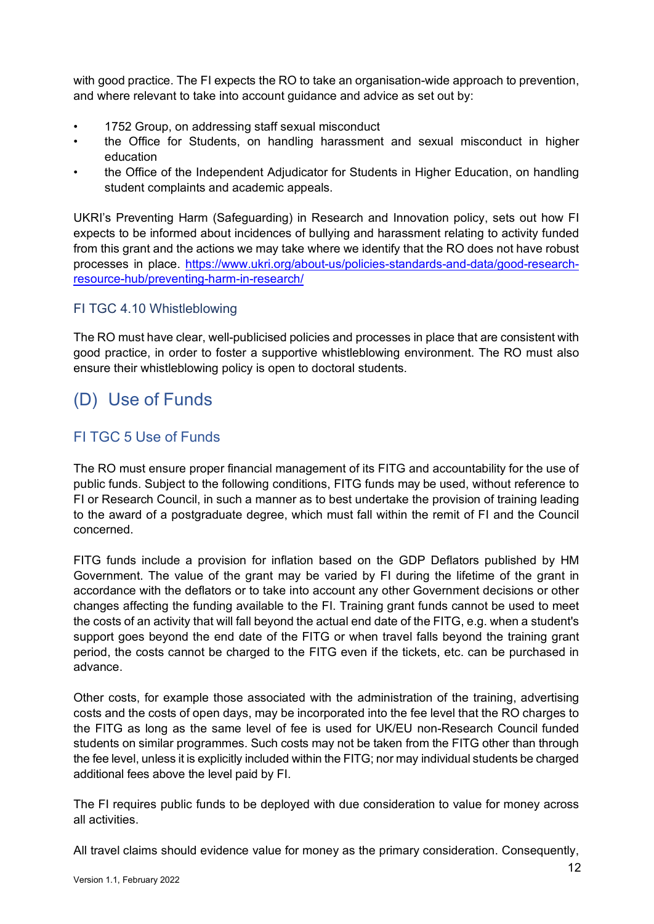with good practice. The FI expects the RO to take an organisation-wide approach to prevention, and where relevant to take into account guidance and advice as set out by:

- 1752 Group, on addressing staff sexual misconduct
- the Office for Students, on handling harassment and sexual misconduct in higher education
- the Office of the Independent Adjudicator for Students in Higher Education, on handling student complaints and academic appeals.

UKRI's Preventing Harm (Safeguarding) in Research and Innovation policy, sets out how FI expects to be informed about incidences of bullying and harassment relating to activity funded from this grant and the actions we may take where we identify that the RO does not have robust processes in place. [https://www.ukri.org/about-us/policies-standards-and-data/good-research](https://www.ukri.org/about-us/policies-standards-and-data/good-research-resource-hub/preventing-harm-in-research/)[resource-hub/preventing-harm-in-research/](https://www.ukri.org/about-us/policies-standards-and-data/good-research-resource-hub/preventing-harm-in-research/)

#### <span id="page-11-0"></span>FI TGC 4.10 Whistleblowing

The RO must have clear, well-publicised policies and processes in place that are consistent with good practice, in order to foster a supportive whistleblowing environment. The RO must also ensure their whistleblowing policy is open to doctoral students.

### <span id="page-11-1"></span>(D) Use of Funds

#### <span id="page-11-2"></span>FI TGC 5 Use of Funds

The RO must ensure proper financial management of its FITG and accountability for the use of public funds. Subject to the following conditions, FITG funds may be used, without reference to FI or Research Council, in such a manner as to best undertake the provision of training leading to the award of a postgraduate degree, which must fall within the remit of FI and the Council concerned.

FITG funds include a provision for inflation based on the GDP Deflators published by HM Government. The value of the grant may be varied by FI during the lifetime of the grant in accordance with the deflators or to take into account any other Government decisions or other changes affecting the funding available to the FI. Training grant funds cannot be used to meet the costs of an activity that will fall beyond the actual end date of the FITG, e.g. when a student's support goes beyond the end date of the FITG or when travel falls beyond the training grant period, the costs cannot be charged to the FITG even if the tickets, etc. can be purchased in advance.

Other costs, for example those associated with the administration of the training, advertising costs and the costs of open days, may be incorporated into the fee level that the RO charges to the FITG as long as the same level of fee is used for UK/EU non-Research Council funded students on similar programmes. Such costs may not be taken from the FITG other than through the fee level, unless it is explicitly included within the FITG; nor may individual students be charged additional fees above the level paid by FI.

The FI requires public funds to be deployed with due consideration to value for money across all activities.

All travel claims should evidence value for money as the primary consideration. Consequently,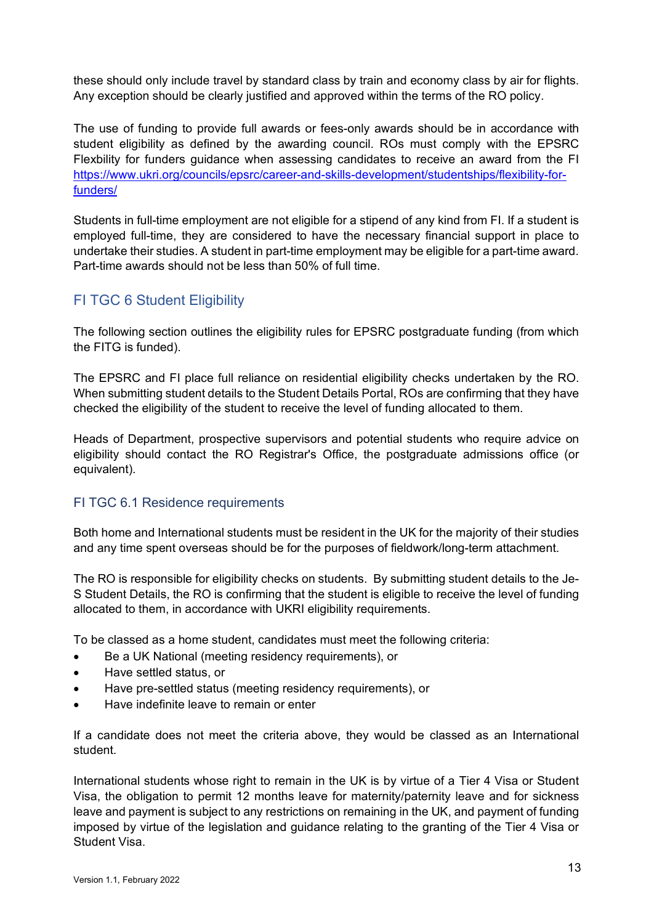these should only include travel by standard class by train and economy class by air for flights. Any exception should be clearly justified and approved within the terms of the RO policy.

The use of funding to provide full awards or fees-only awards should be in accordance with student eligibility as defined by the awarding council. ROs must comply with the EPSRC Flexbility for funders guidance when assessing candidates to receive an award from the FI [https://www.ukri.org/councils/epsrc/career-and-skills-development/studentships/flexibility-for](https://www.ukri.org/councils/epsrc/career-and-skills-development/studentships/flexibility-for-funders/)[funders/](https://www.ukri.org/councils/epsrc/career-and-skills-development/studentships/flexibility-for-funders/)

Students in full-time employment are not eligible for a stipend of any kind from FI. If a student is employed full-time, they are considered to have the necessary financial support in place to undertake their studies. A student in part-time employment may be eligible for a part-time award. Part-time awards should not be less than 50% of full time.

#### <span id="page-12-0"></span>FI TGC 6 Student Eligibility

The following section outlines the eligibility rules for EPSRC postgraduate funding (from which the FITG is funded).

The EPSRC and FI place full reliance on residential eligibility checks undertaken by the RO. When submitting student details to the Student Details Portal, ROs are confirming that they have checked the eligibility of the student to receive the level of funding allocated to them.

Heads of Department, prospective supervisors and potential students who require advice on eligibility should contact the RO Registrar's Office, the postgraduate admissions office (or equivalent).

#### <span id="page-12-1"></span>FI TGC 6.1 Residence requirements

Both home and International students must be resident in the UK for the majority of their studies and any time spent overseas should be for the purposes of fieldwork/long-term attachment.

The RO is responsible for eligibility checks on students. By submitting student details to the Je-S Student Details, the RO is confirming that the student is eligible to receive the level of funding allocated to them, in accordance with UKRI eligibility requirements.

To be classed as a home student, candidates must meet the following criteria:

- Be a UK National (meeting residency requirements), or
- Have settled status, or
- Have pre-settled status (meeting residency requirements), or
- Have indefinite leave to remain or enter

If a candidate does not meet the criteria above, they would be classed as an International student.

International students whose right to remain in the UK is by virtue of a Tier 4 Visa or Student Visa, the obligation to permit 12 months leave for maternity/paternity leave and for sickness leave and payment is subject to any restrictions on remaining in the UK, and payment of funding imposed by virtue of the legislation and guidance relating to the granting of the Tier 4 Visa or Student Visa.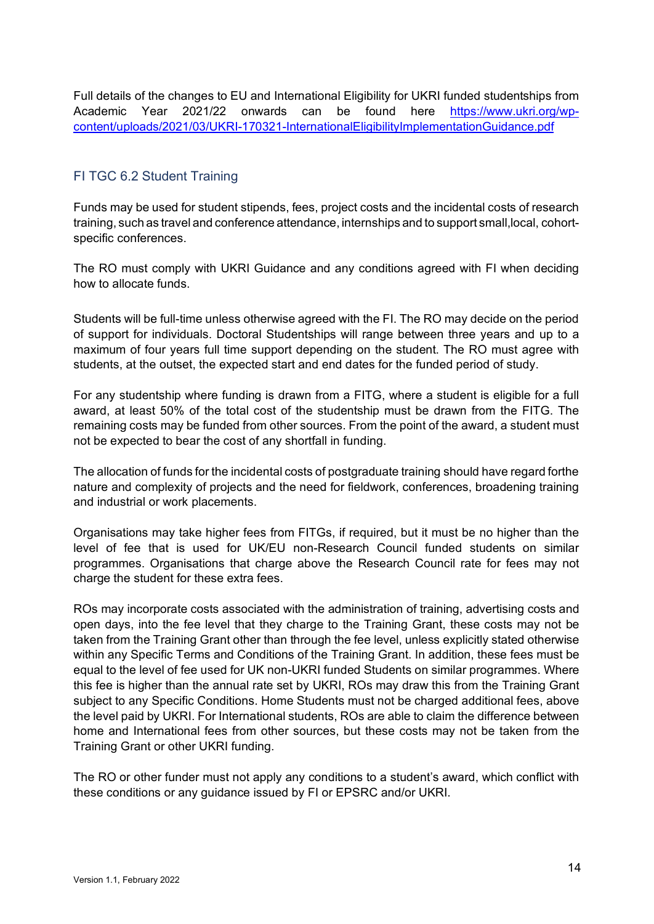Full details of the changes to EU and International Eligibility for UKRI funded studentships from Academic Year 2021/22 onwards can be found here [https://www.ukri.org/wp](https://www.ukri.org/wp-content/uploads/2021/03/UKRI-170321-InternationalEligibilityImplementationGuidance.pdf)[content/uploads/2021/03/UKRI-170321-InternationalEligibilityImplementationGuidance.pdf](https://www.ukri.org/wp-content/uploads/2021/03/UKRI-170321-InternationalEligibilityImplementationGuidance.pdf)

#### <span id="page-13-0"></span>FI TGC 6.2 Student Training

Funds may be used for student stipends, fees, project costs and the incidental costs of research training, such as travel and conference attendance, internships and to support small,local, cohortspecific conferences.

The RO must comply with UKRI Guidance and any conditions agreed with FI when deciding how to allocate funds.

Students will be full-time unless otherwise agreed with the FI. The RO may decide on the period of support for individuals. Doctoral Studentships will range between three years and up to a maximum of four years full time support depending on the student. The RO must agree with students, at the outset, the expected start and end dates for the funded period of study.

For any studentship where funding is drawn from a FITG, where a student is eligible for a full award, at least 50% of the total cost of the studentship must be drawn from the FITG. The remaining costs may be funded from other sources. From the point of the award, a student must not be expected to bear the cost of any shortfall in funding.

The allocation of funds for the incidental costs of postgraduate training should have regard forthe nature and complexity of projects and the need for fieldwork, conferences, broadening training and industrial or work placements.

Organisations may take higher fees from FITGs, if required, but it must be no higher than the level of fee that is used for UK/EU non-Research Council funded students on similar programmes. Organisations that charge above the Research Council rate for fees may not charge the student for these extra fees.

ROs may incorporate costs associated with the administration of training, advertising costs and open days, into the fee level that they charge to the Training Grant, these costs may not be taken from the Training Grant other than through the fee level, unless explicitly stated otherwise within any Specific Terms and Conditions of the Training Grant. In addition, these fees must be equal to the level of fee used for UK non-UKRI funded Students on similar programmes. Where this fee is higher than the annual rate set by UKRI, ROs may draw this from the Training Grant subject to any Specific Conditions. Home Students must not be charged additional fees, above the level paid by UKRI. For International students, ROs are able to claim the difference between home and International fees from other sources, but these costs may not be taken from the Training Grant or other UKRI funding.

The RO or other funder must not apply any conditions to a student's award, which conflict with these conditions or any guidance issued by FI or EPSRC and/or UKRI.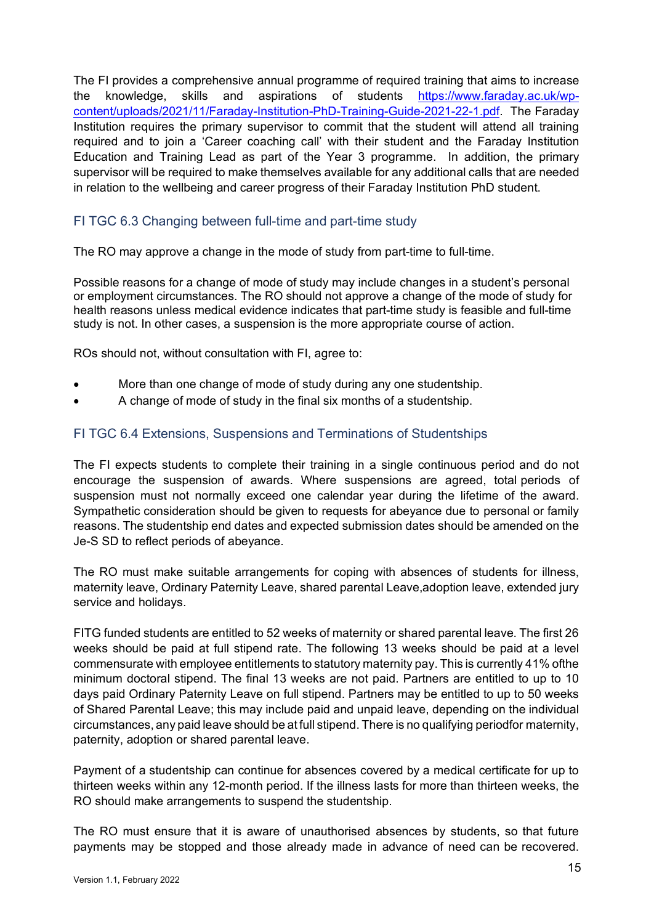The FI provides a comprehensive annual programme of required training that aims to increase the knowledge, skills and aspirations of students [https://www.faraday.ac.uk/wp](https://www.faraday.ac.uk/wp-content/uploads/2021/11/Faraday-Institution-PhD-Training-Guide-2021-22-1.pdf)[content/uploads/2021/11/Faraday-Institution-PhD-Training-Guide-2021-22-1.pdf.](https://www.faraday.ac.uk/wp-content/uploads/2021/11/Faraday-Institution-PhD-Training-Guide-2021-22-1.pdf) The Faraday Institution requires the primary supervisor to commit that the student will attend all training required and to join a 'Career coaching call' with their student and the Faraday Institution Education and Training Lead as part of the Year 3 programme. In addition, the primary supervisor will be required to make themselves available for any additional calls that are needed in relation to the wellbeing and career progress of their Faraday Institution PhD student.

#### <span id="page-14-0"></span>FI TGC 6.3 Changing between full-time and part-time study

The RO may approve a change in the mode of study from part-time to full-time.

Possible reasons for a change of mode of study may include changes in a student's personal or employment circumstances. The RO should not approve a change of the mode of study for health reasons unless medical evidence indicates that part-time study is feasible and full-time study is not. In other cases, a suspension is the more appropriate course of action.

ROs should not, without consultation with FI, agree to:

- More than one change of mode of study during any one studentship.
- A change of mode of study in the final six months of a studentship.

#### <span id="page-14-1"></span>FI TGC 6.4 Extensions, Suspensions and Terminations of Studentships

The FI expects students to complete their training in a single continuous period and do not encourage the suspension of awards. Where suspensions are agreed, total periods of suspension must not normally exceed one calendar year during the lifetime of the award. Sympathetic consideration should be given to requests for abeyance due to personal or family reasons. The studentship end dates and expected submission dates should be amended on the Je-S SD to reflect periods of abeyance.

The RO must make suitable arrangements for coping with absences of students for illness, maternity leave, Ordinary Paternity Leave, shared parental Leave,adoption leave, extended jury service and holidays.

FITG funded students are entitled to 52 weeks of maternity or shared parental leave. The first 26 weeks should be paid at full stipend rate. The following 13 weeks should be paid at a level commensurate with employee entitlements to statutory maternity pay. This is currently 41% ofthe minimum doctoral stipend. The final 13 weeks are not paid. Partners are entitled to up to 10 days paid Ordinary Paternity Leave on full stipend. Partners may be entitled to up to 50 weeks of Shared Parental Leave; this may include paid and unpaid leave, depending on the individual circumstances, any paid leave should be at full stipend. There is no qualifying periodfor maternity, paternity, adoption or shared parental leave.

Payment of a studentship can continue for absences covered by a medical certificate for up to thirteen weeks within any 12-month period. If the illness lasts for more than thirteen weeks, the RO should make arrangements to suspend the studentship.

The RO must ensure that it is aware of unauthorised absences by students, so that future payments may be stopped and those already made in advance of need can be recovered.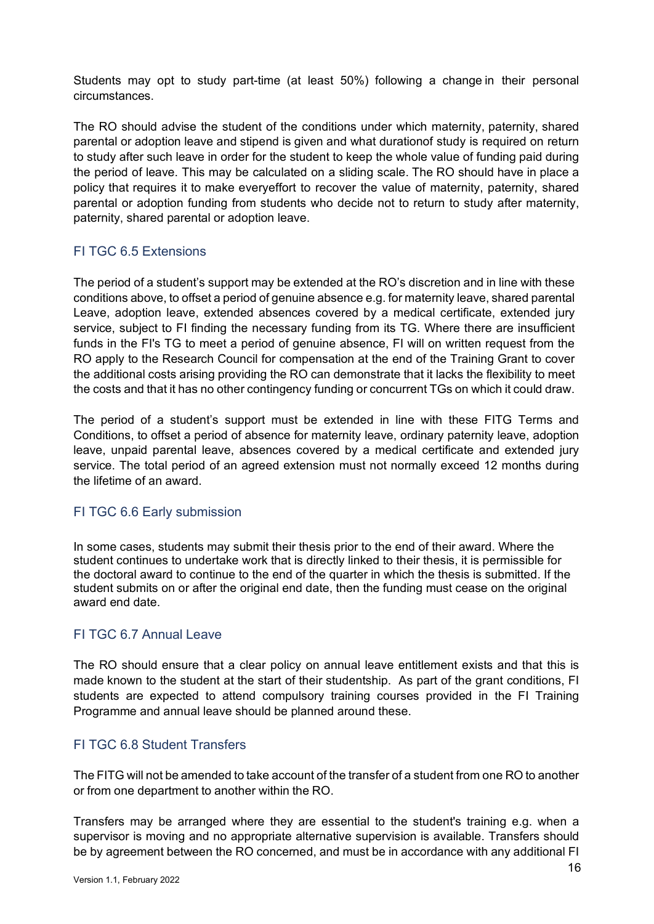Students may opt to study part-time (at least 50%) following a change in their personal circumstances.

The RO should advise the student of the conditions under which maternity, paternity, shared parental or adoption leave and stipend is given and what durationof study is required on return to study after such leave in order for the student to keep the whole value of funding paid during the period of leave. This may be calculated on a sliding scale. The RO should have in place a policy that requires it to make everyeffort to recover the value of maternity, paternity, shared parental or adoption funding from students who decide not to return to study after maternity, paternity, shared parental or adoption leave.

#### <span id="page-15-0"></span>FI TGC 6.5 Extensions

The period of a student's support may be extended at the RO's discretion and in line with these conditions above, to offset a period of genuine absence e.g. for maternity leave, shared parental Leave, adoption leave, extended absences covered by a medical certificate, extended jury service, subject to FI finding the necessary funding from its TG. Where there are insufficient funds in the FI's TG to meet a period of genuine absence, FI will on written request from the RO apply to the Research Council for compensation at the end of the Training Grant to cover the additional costs arising providing the RO can demonstrate that it lacks the flexibility to meet the costs and that it has no other contingency funding or concurrent TGs on which it could draw.

The period of a student's support must be extended in line with these FITG Terms and Conditions, to offset a period of absence for maternity leave, ordinary paternity leave, adoption leave, unpaid parental leave, absences covered by a medical certificate and extended jury service. The total period of an agreed extension must not normally exceed 12 months during the lifetime of an award.

#### <span id="page-15-1"></span>FI TGC 6.6 Early submission

In some cases, students may submit their thesis prior to the end of their award. Where the student continues to undertake work that is directly linked to their thesis, it is permissible for the doctoral award to continue to the end of the quarter in which the thesis is submitted. If the student submits on or after the original end date, then the funding must cease on the original award end date.

#### <span id="page-15-2"></span>FI TGC 6.7 Annual Leave

The RO should ensure that a clear policy on annual leave entitlement exists and that this is made known to the student at the start of their studentship. As part of the grant conditions, FI students are expected to attend compulsory training courses provided in the FI Training Programme and annual leave should be planned around these.

#### <span id="page-15-3"></span>FI TGC 6.8 Student Transfers

The FITG will not be amended to take account of the transfer of a student from one RO to another or from one department to another within the RO.

Transfers may be arranged where they are essential to the student's training e.g. when a supervisor is moving and no appropriate alternative supervision is available. Transfers should be by agreement between the RO concerned, and must be in accordance with any additional FI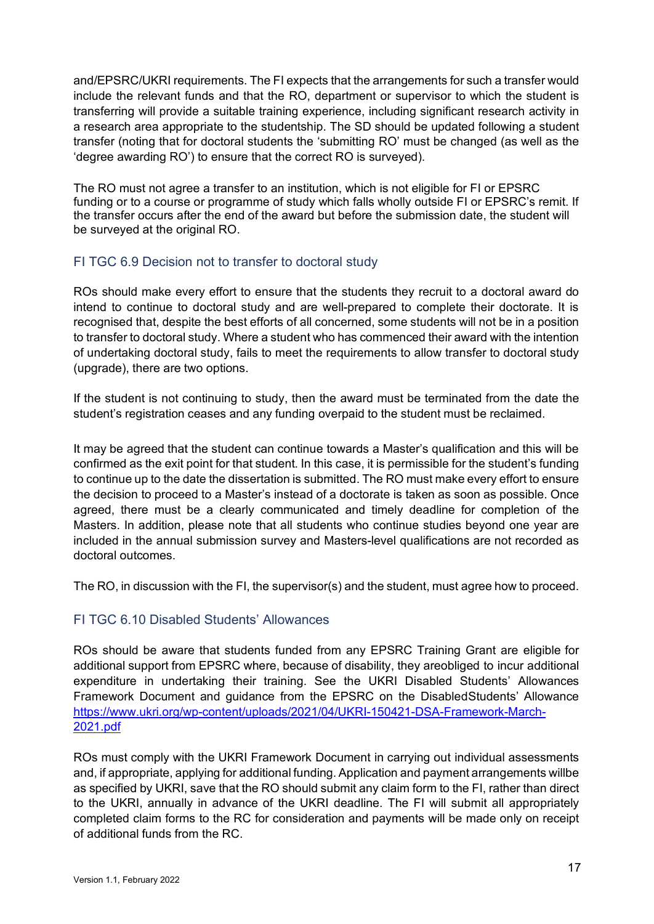and/EPSRC/UKRI requirements. The FI expects that the arrangements for such a transfer would include the relevant funds and that the RO, department or supervisor to which the student is transferring will provide a suitable training experience, including significant research activity in a research area appropriate to the studentship. The SD should be updated following a student transfer (noting that for doctoral students the 'submitting RO' must be changed (as well as the 'degree awarding RO') to ensure that the correct RO is surveyed).

The RO must not agree a transfer to an institution, which is not eligible for FI or EPSRC funding or to a course or programme of study which falls wholly outside FI or EPSRC's remit. If the transfer occurs after the end of the award but before the submission date, the student will be surveyed at the original RO.

#### <span id="page-16-0"></span>FI TGC 6.9 Decision not to transfer to doctoral study

ROs should make every effort to ensure that the students they recruit to a doctoral award do intend to continue to doctoral study and are well-prepared to complete their doctorate. It is recognised that, despite the best efforts of all concerned, some students will not be in a position to transfer to doctoral study. Where a student who has commenced their award with the intention of undertaking doctoral study, fails to meet the requirements to allow transfer to doctoral study (upgrade), there are two options.

If the student is not continuing to study, then the award must be terminated from the date the student's registration ceases and any funding overpaid to the student must be reclaimed.

It may be agreed that the student can continue towards a Master's qualification and this will be confirmed as the exit point for that student. In this case, it is permissible for the student's funding to continue up to the date the dissertation is submitted. The RO must make every effort to ensure the decision to proceed to a Master's instead of a doctorate is taken as soon as possible. Once agreed, there must be a clearly communicated and timely deadline for completion of the Masters. In addition, please note that all students who continue studies beyond one year are included in the annual submission survey and Masters-level qualifications are not recorded as doctoral outcomes.

The RO, in discussion with the FI, the supervisor(s) and the student, must agree how to proceed.

#### <span id="page-16-1"></span>FI TGC 6.10 Disabled Students' Allowances

ROs should be aware that students funded from any EPSRC Training Grant are eligible for additional support from EPSRC where, because of disability, they areobliged to incur additional expenditure in undertaking their training. See the UKRI Disabled Students' Allowances Framework Document and guidance from the EPSRC on the DisabledStudents' Allowance [https://www.ukri.org/wp-content/uploads/2021/04/UKRI-150421-DSA-Framework-March-](https://www.ukri.org/wp-content/uploads/2021/04/UKRI-150421-DSA-Framework-March-2021.pdf)[2021.pdf](https://www.ukri.org/wp-content/uploads/2021/04/UKRI-150421-DSA-Framework-March-2021.pdf)

ROs must comply with the UKRI Framework Document in carrying out individual assessments and, if appropriate, applying for additional funding. Application and payment arrangements willbe as specified by UKRI, save that the RO should submit any claim form to the FI, rather than direct to the UKRI, annually in advance of the UKRI deadline. The FI will submit all appropriately completed claim forms to the RC for consideration and payments will be made only on receipt of additional funds from the RC.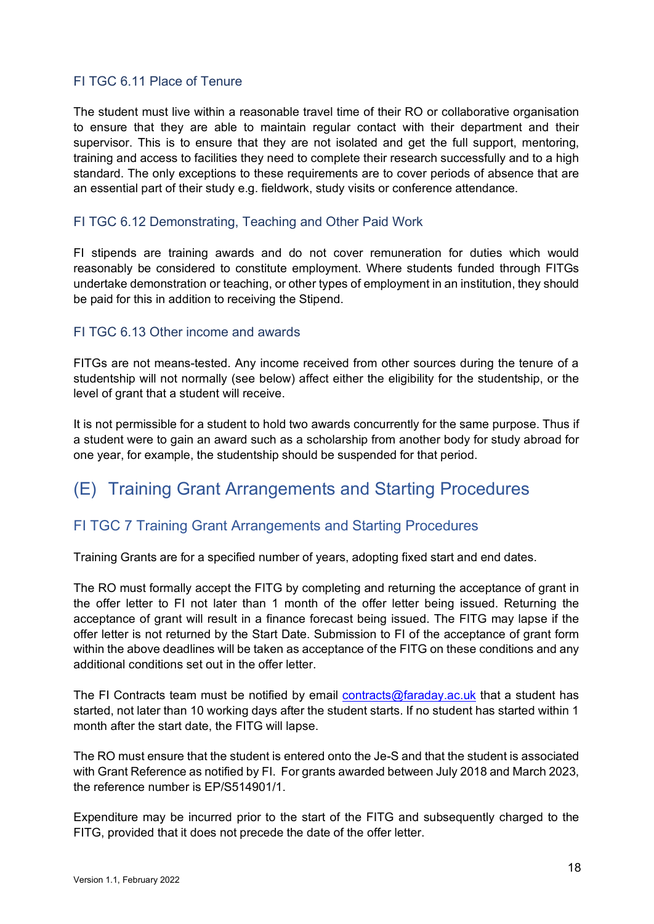#### <span id="page-17-0"></span>FI TGC 6.11 Place of Tenure

The student must live within a reasonable travel time of their RO or collaborative organisation to ensure that they are able to maintain regular contact with their department and their supervisor. This is to ensure that they are not isolated and get the full support, mentoring, training and access to facilities they need to complete their research successfully and to a high standard. The only exceptions to these requirements are to cover periods of absence that are an essential part of their study e.g. fieldwork, study visits or conference attendance.

#### <span id="page-17-1"></span>FI TGC 6.12 Demonstrating, Teaching and Other Paid Work

FI stipends are training awards and do not cover remuneration for duties which would reasonably be considered to constitute employment. Where students funded through FITGs undertake demonstration or teaching, or other types of employment in an institution, they should be paid for this in addition to receiving the Stipend.

#### <span id="page-17-2"></span>FI TGC 6.13 Other income and awards

FITGs are not means-tested. Any income received from other sources during the tenure of a studentship will not normally (see below) affect either the eligibility for the studentship, or the level of grant that a student will receive.

It is not permissible for a student to hold two awards concurrently for the same purpose. Thus if a student were to gain an award such as a scholarship from another body for study abroad for one year, for example, the studentship should be suspended for that period.

### <span id="page-17-3"></span>(E) Training Grant Arrangements and Starting Procedures

#### <span id="page-17-4"></span>FI TGC 7 Training Grant Arrangements and Starting Procedures

Training Grants are for a specified number of years, adopting fixed start and end dates.

The RO must formally accept the FITG by completing and returning the acceptance of grant in the offer letter to FI not later than 1 month of the offer letter being issued. Returning the acceptance of grant will result in a finance forecast being issued. The FITG may lapse if the offer letter is not returned by the Start Date. Submission to FI of the acceptance of grant form within the above deadlines will be taken as acceptance of the FITG on these conditions and any additional conditions set out in the offer letter.

The FI Contracts team must be notified by email [contracts@faraday.ac.uk](mailto:contracts@faraday.ac.uk) that a student has started, not later than 10 working days after the student starts. If no student has started within 1 month after the start date, the FITG will lapse.

The RO must ensure that the student is entered onto the Je-S and that the student is associated with Grant Reference as notified by FI. For grants awarded between July 2018 and March 2023, the reference number is FP/S514901/1.

Expenditure may be incurred prior to the start of the FITG and subsequently charged to the FITG, provided that it does not precede the date of the offer letter.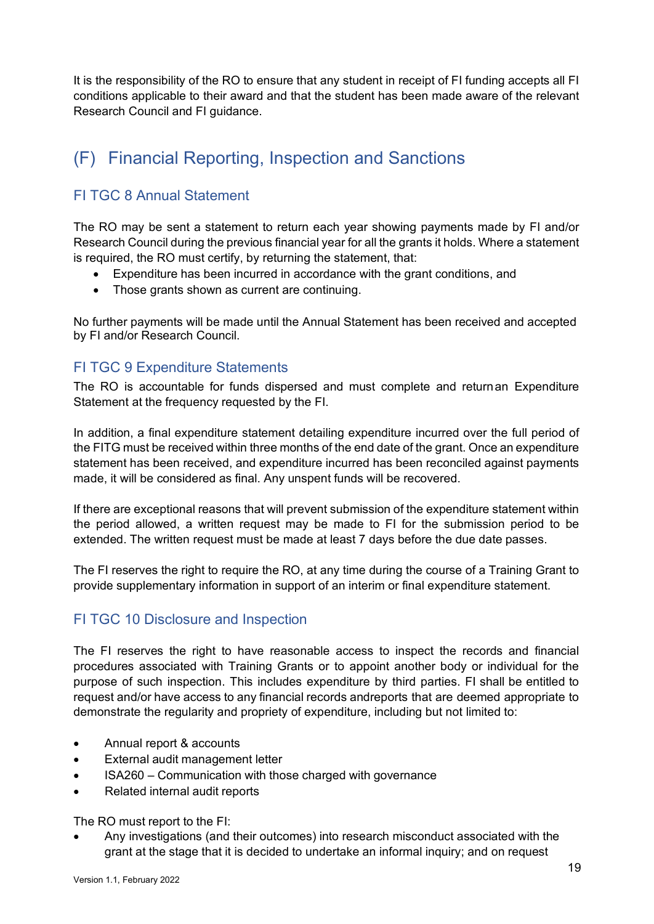It is the responsibility of the RO to ensure that any student in receipt of FI funding accepts all FI conditions applicable to their award and that the student has been made aware of the relevant Research Council and FI guidance.

# <span id="page-18-0"></span>(F) Financial Reporting, Inspection and Sanctions

#### <span id="page-18-1"></span>FI TGC 8 Annual Statement

The RO may be sent a statement to return each year showing payments made by FI and/or Research Council during the previous financial year for all the grants it holds. Where a statement is required, the RO must certify, by returning the statement, that:

- Expenditure has been incurred in accordance with the grant conditions, and
- Those grants shown as current are continuing.

No further payments will be made until the Annual Statement has been received and accepted by FI and/or Research Council.

#### <span id="page-18-2"></span>FI TGC 9 Expenditure Statements

The RO is accountable for funds dispersed and must complete and returnan Expenditure Statement at the frequency requested by the FI.

In addition, a final expenditure statement detailing expenditure incurred over the full period of the FITG must be received within three months of the end date of the grant. Once an expenditure statement has been received, and expenditure incurred has been reconciled against payments made, it will be considered as final. Any unspent funds will be recovered.

If there are exceptional reasons that will prevent submission of the expenditure statement within the period allowed, a written request may be made to FI for the submission period to be extended. The written request must be made at least 7 days before the due date passes.

The FI reserves the right to require the RO, at any time during the course of a Training Grant to provide supplementary information in support of an interim or final expenditure statement.

#### <span id="page-18-3"></span>FI TGC 10 Disclosure and Inspection

The FI reserves the right to have reasonable access to inspect the records and financial procedures associated with Training Grants or to appoint another body or individual for the purpose of such inspection. This includes expenditure by third parties. FI shall be entitled to request and/or have access to any financial records andreports that are deemed appropriate to demonstrate the regularity and propriety of expenditure, including but not limited to:

- Annual report & accounts
- External audit management letter
- ISA260 Communication with those charged with governance
- Related internal audit reports

The RO must report to the FI:

• Any investigations (and their outcomes) into research misconduct associated with the grant at the stage that it is decided to undertake an informal inquiry; and on request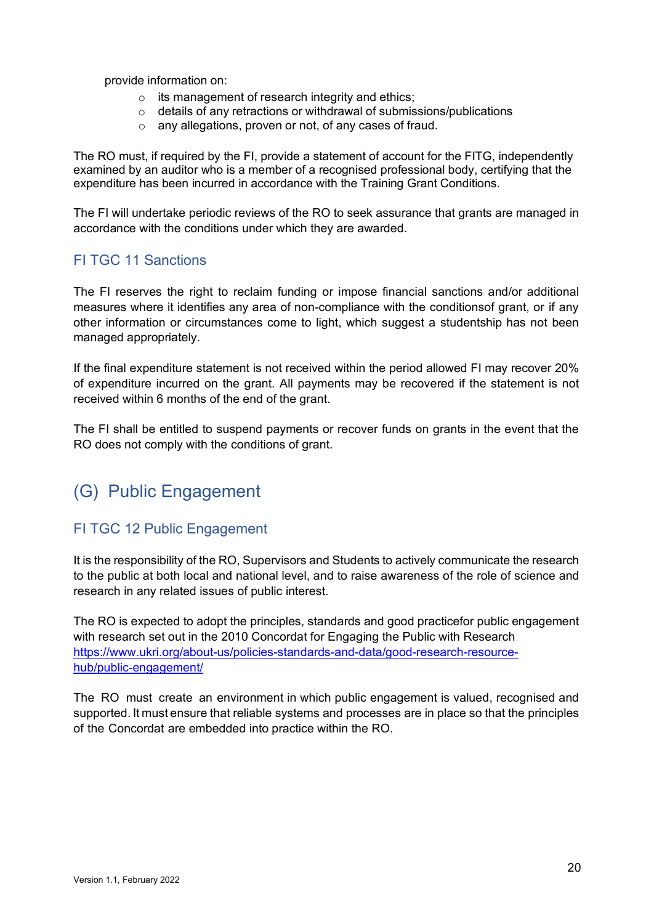provide information on:

- $\circ$  its management of research integrity and ethics;
- o details of any retractions or withdrawal of submissions/publications
- o any allegations, proven or not, of any cases of fraud.

The RO must, if required by the FI, provide a statement of account for the FITG, independently examined by an auditor who is a member of a recognised professional body, certifying that the expenditure has been incurred in accordance with the Training Grant Conditions.

The FI will undertake periodic reviews of the RO to seek assurance that grants are managed in accordance with the conditions under which they are awarded.

#### <span id="page-19-0"></span>FI TGC 11 Sanctions

The FI reserves the right to reclaim funding or impose financial sanctions and/or additional measures where it identifies any area of non-compliance with the conditionsof grant, or if any other information or circumstances come to light, which suggest a studentship has not been managed appropriately.

If the final expenditure statement is not received within the period allowed FI may recover 20% of expenditure incurred on the grant. All payments may be recovered if the statement is not received within 6 months of the end of the grant.

The FI shall be entitled to suspend payments or recover funds on grants in the event that the RO does not comply with the conditions of grant.

### <span id="page-19-1"></span>(G) Public Engagement

#### <span id="page-19-2"></span>FI TGC 12 Public Engagement

It is the responsibility of the RO, Supervisors and Students to actively communicate the research to the public at both local and national level, and to raise awareness of the role of science and research in any related issues of public interest.

The RO is expected to adopt the principles, standards and good practicefor public engagement with research set out in the 2010 Concordat for Engaging the Public with Research [https://www.ukri.org/about-us/policies-standards-and-data/good-research-resource](https://www.ukri.org/about-us/policies-standards-and-data/good-research-resource-hub/public-engagement/)[hub/public-engagement/](https://www.ukri.org/about-us/policies-standards-and-data/good-research-resource-hub/public-engagement/)

The RO must create an environment in which public engagement is valued, recognised and supported. It must ensure that reliable systems and processes are in place so that the principles of the Concordat are embedded into practice within the RO.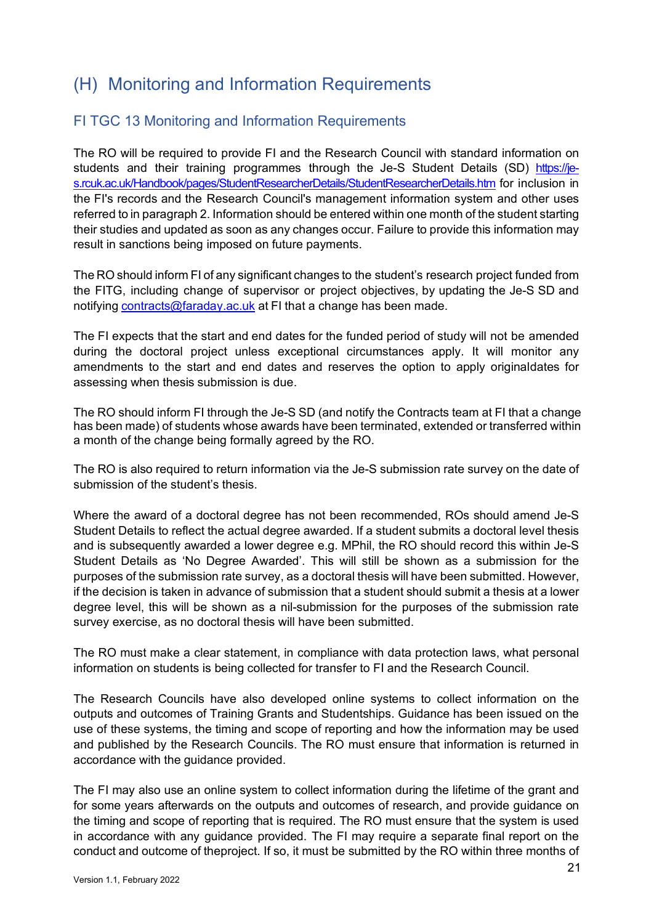## <span id="page-20-0"></span>(H) Monitoring and Information Requirements

#### <span id="page-20-1"></span>FI TGC 13 Monitoring and Information Requirements

The RO will be required to provide FI and the Research Council with standard information on students and their training programmes through the Je-S Student Details (SD) [https://je](https://je-s.rcuk.ac.uk/Handbook/pages/StudentResearcherDetails/StudentResearcherDetails.htm)[s.rcuk.ac.uk/Handbook/pages/StudentResearcherDetails/StudentResearcherDetails.htm](https://je-s.rcuk.ac.uk/Handbook/pages/StudentResearcherDetails/StudentResearcherDetails.htm) for inclusion in the FI's records and the Research Council's management information system and other uses referred to in paragraph 2. Information should be entered within one month of the student starting their studies and updated as soon as any changes occur. Failure to provide this information may result in sanctions being imposed on future payments.

The RO should inform FI of any significant changes to the student's research project funded from the FITG, including change of supervisor or project objectives, by updating the Je-S SD and notifying [contracts@faraday.ac.uk](mailto:contracts@faraday.ac.uk) at FI that a change has been made.

The FI expects that the start and end dates for the funded period of study will not be amended during the doctoral project unless exceptional circumstances apply. It will monitor any amendments to the start and end dates and reserves the option to apply originaldates for assessing when thesis submission is due.

The RO should inform FI through the Je-S SD (and notify the Contracts team at FI that a change has been made) of students whose awards have been terminated, extended or transferred within a month of the change being formally agreed by the RO.

The RO is also required to return information via the Je-S submission rate survey on the date of submission of the student's thesis.

Where the award of a doctoral degree has not been recommended, ROs should amend Je-S Student Details to reflect the actual degree awarded. If a student submits a doctoral level thesis and is subsequently awarded a lower degree e.g. MPhil, the RO should record this within Je-S Student Details as 'No Degree Awarded'. This will still be shown as a submission for the purposes of the submission rate survey, as a doctoral thesis will have been submitted. However, if the decision is taken in advance of submission that a student should submit a thesis at a lower degree level, this will be shown as a nil-submission for the purposes of the submission rate survey exercise, as no doctoral thesis will have been submitted.

The RO must make a clear statement, in compliance with data protection laws, what personal information on students is being collected for transfer to FI and the Research Council.

The Research Councils have also developed online systems to collect information on the outputs and outcomes of Training Grants and Studentships. Guidance has been issued on the use of these systems, the timing and scope of reporting and how the information may be used and published by the Research Councils. The RO must ensure that information is returned in accordance with the guidance provided.

The FI may also use an online system to collect information during the lifetime of the grant and for some years afterwards on the outputs and outcomes of research, and provide guidance on the timing and scope of reporting that is required. The RO must ensure that the system is used in accordance with any guidance provided. The FI may require a separate final report on the conduct and outcome of theproject. If so, it must be submitted by the RO within three months of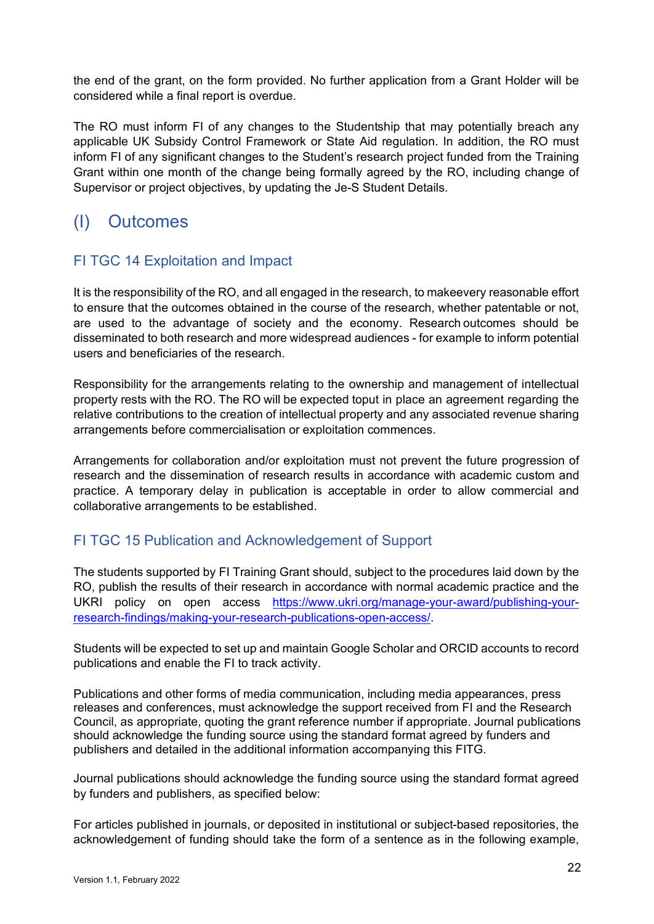the end of the grant, on the form provided. No further application from a Grant Holder will be considered while a final report is overdue.

The RO must inform FI of any changes to the Studentship that may potentially breach any applicable UK Subsidy Control Framework or State Aid regulation. In addition, the RO must inform FI of any significant changes to the Student's research project funded from the Training Grant within one month of the change being formally agreed by the RO, including change of Supervisor or project objectives, by updating the Je-S Student Details.

### <span id="page-21-0"></span>(I) Outcomes

#### <span id="page-21-1"></span>FI TGC 14 Exploitation and Impact

It is the responsibility of the RO, and all engaged in the research, to makeevery reasonable effort to ensure that the outcomes obtained in the course of the research, whether patentable or not, are used to the advantage of society and the economy. Research outcomes should be disseminated to both research and more widespread audiences - for example to inform potential users and beneficiaries of the research.

Responsibility for the arrangements relating to the ownership and management of intellectual property rests with the RO. The RO will be expected toput in place an agreement regarding the relative contributions to the creation of intellectual property and any associated revenue sharing arrangements before commercialisation or exploitation commences.

Arrangements for collaboration and/or exploitation must not prevent the future progression of research and the dissemination of research results in accordance with academic custom and practice. A temporary delay in publication is acceptable in order to allow commercial and collaborative arrangements to be established.

#### <span id="page-21-2"></span>FI TGC 15 Publication and Acknowledgement of Support

The students supported by FI Training Grant should, subject to the procedures laid down by the RO, publish the results of their research in accordance with normal academic practice and the UKRI policy on open access [https://www.ukri.org/manage-your-award/publishing-your](https://www.ukri.org/manage-your-award/publishing-your-research-findings/making-your-research-publications-open-access/)[research-findings/making-your-research-publications-open-access/.](https://www.ukri.org/manage-your-award/publishing-your-research-findings/making-your-research-publications-open-access/)

Students will be expected to set up and maintain Google Scholar and ORCID accounts to record publications and enable the FI to track activity.

Publications and other forms of media communication, including media appearances, press releases and conferences, must acknowledge the support received from FI and the Research Council, as appropriate, quoting the grant reference number if appropriate. Journal publications should acknowledge the funding source using the standard format agreed by funders and publishers and detailed in the additional information accompanying this FITG.

Journal publications should acknowledge the funding source using the standard format agreed by funders and publishers, as specified below:

For articles published in journals, or deposited in institutional or subject-based repositories, the acknowledgement of funding should take the form of a sentence as in the following example,